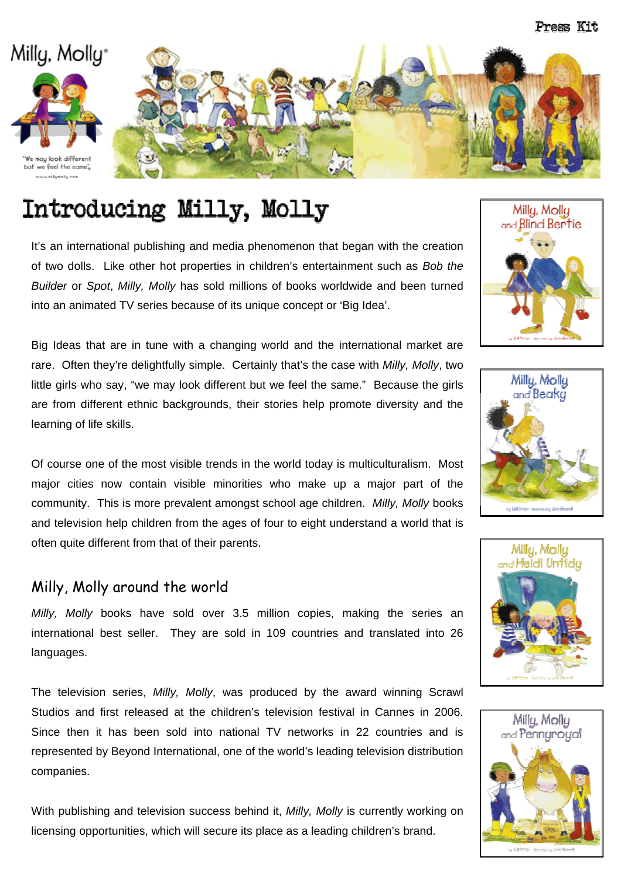

## Introducing Milly, Molly

It's an international publishing and media phenomenon that began with the creation of two dolls. Like other hot properties in children's entertainment such as *Bob the Builder* or *Spot*, *Milly, Molly* has sold millions of books worldwide and been turned into an animated TV series because of its unique concept or 'Big Idea'.

Big Ideas that are in tune with a changing world and the international market are rare. Often they're delightfully simple. Certainly that's the case with *Milly, Molly*, two little girls who say, "we may look different but we feel the same." Because the girls are from different ethnic backgrounds, their stories help promote diversity and the learning of life skills.

Of course one of the most visible trends in the world today is multiculturalism. Most major cities now contain visible minorities who make up a major part of the community. This is more prevalent amongst school age children. *Milly, Molly* books and television help children from the ages of four to eight understand a world that is often quite different from that of their parents.

## Milly, Molly around the world

*Milly, Molly* books have sold over 3.5 million copies, making the series an international best seller. They are sold in 109 countries and translated into 26 languages.

The television series, *Milly, Molly*, was produced by the award winning Scrawl Studios and first released at the children's television festival in Cannes in 2006. Since then it has been sold into national TV networks in 22 countries and is represented by Beyond International, one of the world's leading television distribution companies.

With publishing and television success behind it, *Milly, Molly* is currently working on licensing opportunities, which will secure its place as a leading children's brand.